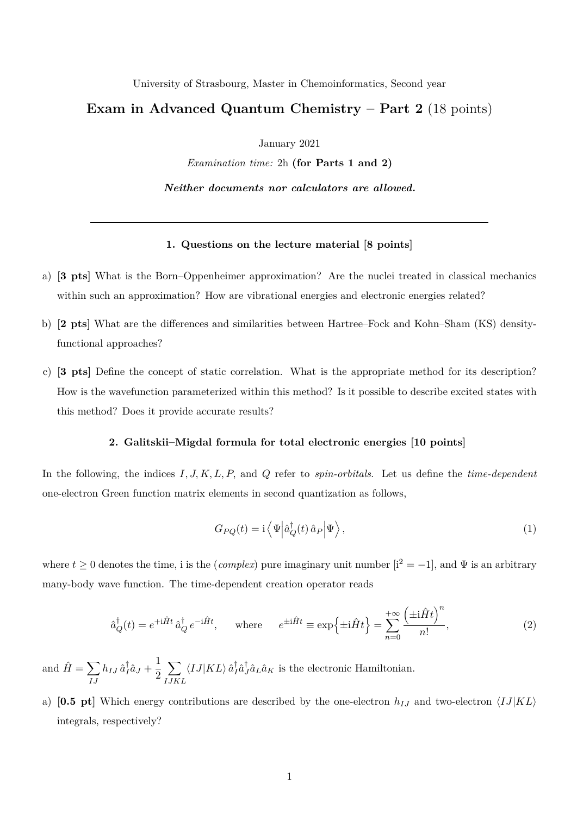University of Strasbourg, Master in Chemoinformatics, Second year

## **Exam in Advanced Quantum Chemistry – Part 2** (18 points)

January 2021

*Examination time:* 2h **(for Parts 1 and 2)**

*Neither documents nor calculators are allowed.*

## **1. Questions on the lecture material [8 points]**

- a) **[3 pts]** What is the Born–Oppenheimer approximation? Are the nuclei treated in classical mechanics within such an approximation? How are vibrational energies and electronic energies related?
- b) **[2 pts]** What are the differences and similarities between Hartree–Fock and Kohn–Sham (KS) densityfunctional approaches?
- c) **[3 pts]** Define the concept of static correlation. What is the appropriate method for its description? How is the wavefunction parameterized within this method? Is it possible to describe excited states with this method? Does it provide accurate results?

## **2. Galitskii–Migdal formula for total electronic energies [10 points]**

In the following, the indices *I, J, K, L, P,* and *Q* refer to *spin-orbitals*. Let us define the *time-dependent* one-electron Green function matrix elements in second quantization as follows,

$$
G_{PQ}(t) = \mathbf{i} \left\langle \Psi \left| \hat{a}_Q^\dagger(t) \hat{a}_P \right| \Psi \right\rangle, \tag{1}
$$

where  $t \geq 0$  denotes the time, i is the (*complex*) pure imaginary unit number  $[i^2 = -1]$ , and  $\Psi$  is an arbitrary many-body wave function. The time-dependent creation operator reads

$$
\hat{a}_Q^{\dagger}(t) = e^{+i\hat{H}t} \hat{a}_Q^{\dagger} e^{-i\hat{H}t}, \quad \text{where} \quad e^{\pm i\hat{H}t} \equiv \exp\left\{\pm i\hat{H}t\right\} = \sum_{n=0}^{+\infty} \frac{\left(\pm i\hat{H}t\right)^n}{n!},\tag{2}
$$

and  $\hat{H} = \sum$ *IJ*  $h_{IJ}\,\hat{a}^\dagger_I$  $\frac{1}{I}\hat{a}_J + \frac{1}{2}$ 2  $\sum$ *IJKL*  $\langle IJ|KL\rangle \hat{a}^{\dagger}_{I}$  $_{I}^{\dagger}\hat{a}_{J}^{\dagger}$  $J_{J}$  $\hat{a}_{L}\hat{a}_{K}$  is the electronic Hamiltonian.

a) [0.5 pt] Which energy contributions are described by the one-electron  $h_{IJ}$  and two-electron  $\langle IJ|KL\rangle$ integrals, respectively?